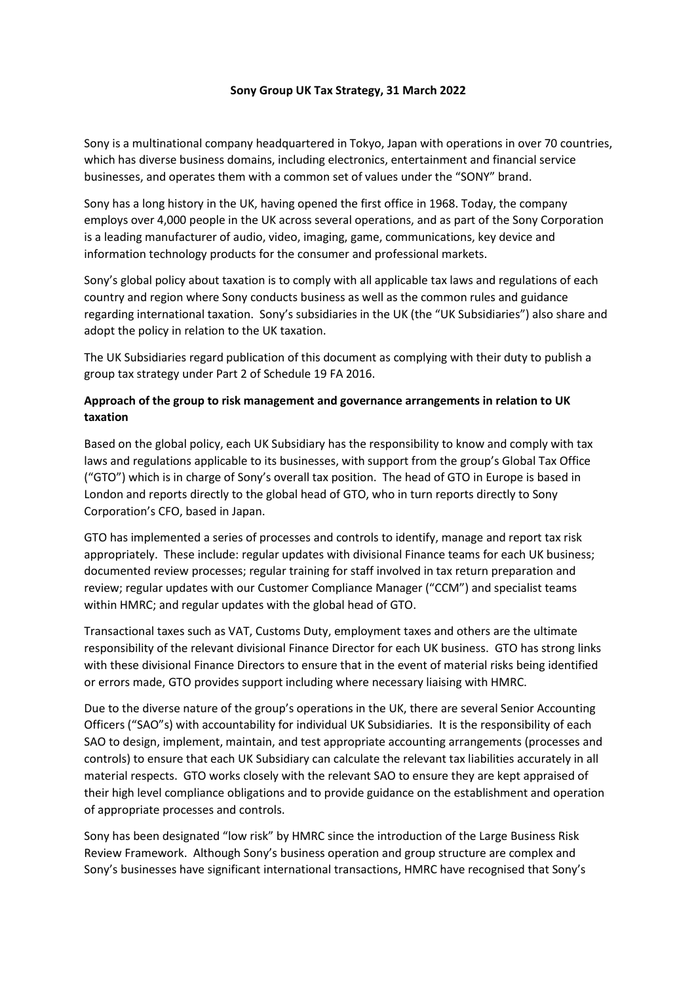#### **Sony Group UK Tax Strategy, 31 March 2022**

Sony is a multinational company headquartered in Tokyo, Japan with operations in over 70 countries, which has diverse business domains, including electronics, entertainment and financial service businesses, and operates them with a common set of values under the "SONY" brand.

Sony has a long history in the UK, having opened the first office in 1968. Today, the company employs over 4,000 people in the UK across several operations, and as part of the Sony Corporation is a leading manufacturer of audio, video, imaging, game, communications, key device and information technology products for the consumer and professional markets.

Sony's global policy about taxation is to comply with all applicable tax laws and regulations of each country and region where Sony conducts business as well as the common rules and guidance regarding international taxation. Sony's subsidiaries in the UK (the "UK Subsidiaries") also share and adopt the policy in relation to the UK taxation.

The UK Subsidiaries regard publication of this document as complying with their duty to publish a group tax strategy under Part 2 of Schedule 19 FA 2016.

# **Approach of the group to risk management and governance arrangements in relation to UK taxation**

Based on the global policy, each UK Subsidiary has the responsibility to know and comply with tax laws and regulations applicable to its businesses, with support from the group's Global Tax Office ("GTO") which is in charge of Sony's overall tax position. The head of GTO in Europe is based in London and reports directly to the global head of GTO, who in turn reports directly to Sony Corporation's CFO, based in Japan.

GTO has implemented a series of processes and controls to identify, manage and report tax risk appropriately. These include: regular updates with divisional Finance teams for each UK business; documented review processes; regular training for staff involved in tax return preparation and review; regular updates with our Customer Compliance Manager ("CCM") and specialist teams within HMRC; and regular updates with the global head of GTO.

Transactional taxes such as VAT, Customs Duty, employment taxes and others are the ultimate responsibility of the relevant divisional Finance Director for each UK business. GTO has strong links with these divisional Finance Directors to ensure that in the event of material risks being identified or errors made, GTO provides support including where necessary liaising with HMRC.

Due to the diverse nature of the group's operations in the UK, there are several Senior Accounting Officers ("SAO"s) with accountability for individual UK Subsidiaries. It is the responsibility of each SAO to design, implement, maintain, and test appropriate accounting arrangements (processes and controls) to ensure that each UK Subsidiary can calculate the relevant tax liabilities accurately in all material respects. GTO works closely with the relevant SAO to ensure they are kept appraised of their high level compliance obligations and to provide guidance on the establishment and operation of appropriate processes and controls.

Sony has been designated "low risk" by HMRC since the introduction of the Large Business Risk Review Framework. Although Sony's business operation and group structure are complex and Sony's businesses have significant international transactions, HMRC have recognised that Sony's